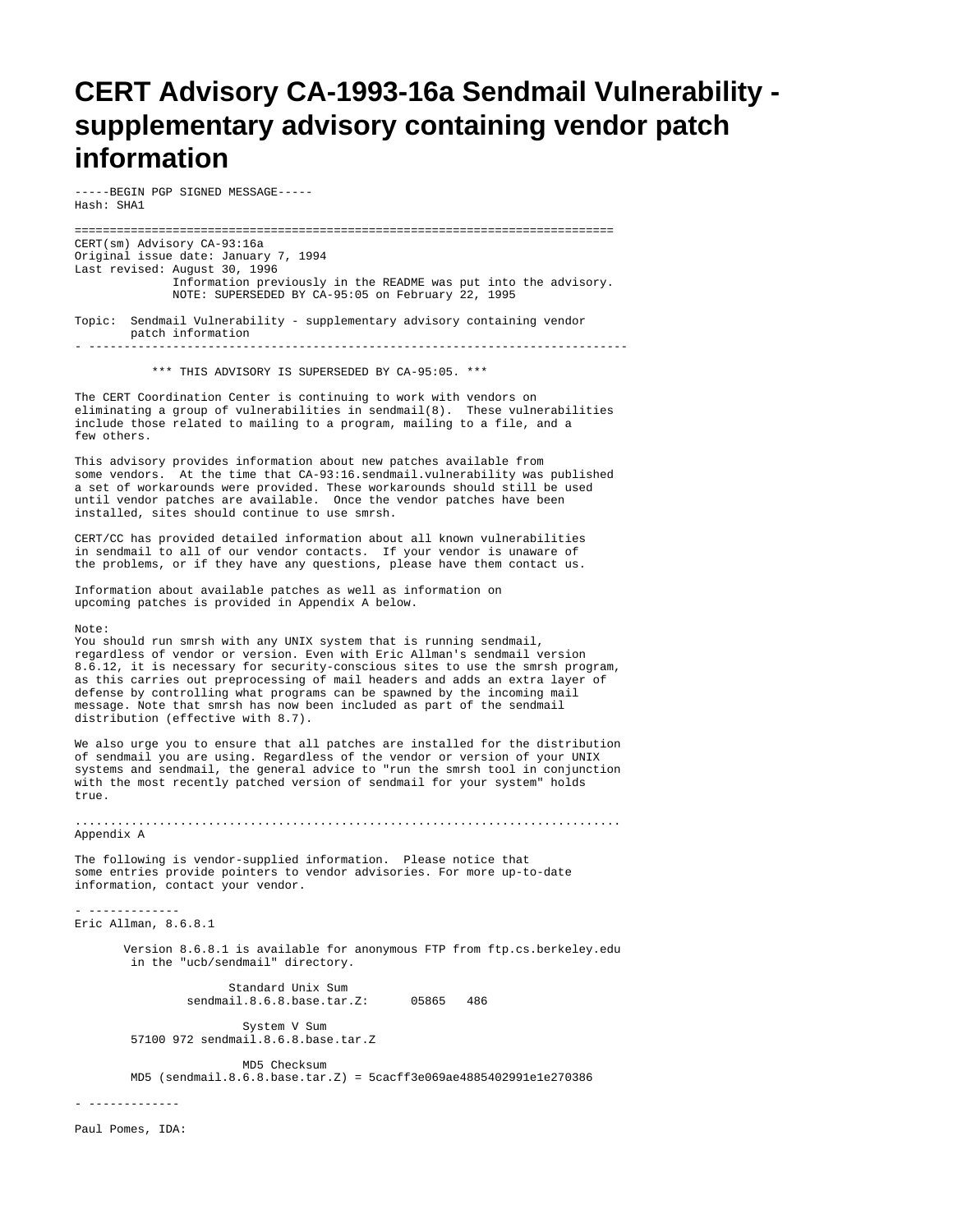## **CERT Advisory CA-1993-16a Sendmail Vulnerability supplementary advisory containing vendor patch information**

-----BEGIN PGP SIGNED MESSAGE----- Hash: SHA1

============================================================================= CERT(sm) Advisory CA-93:16a Original issue date: January 7, 1994 Last revised: August 30, 1996 Information previously in the README was put into the advisory. NOTE: SUPERSEDED BY CA-95:05 on February 22, 1995 Topic: Sendmail Vulnerability - supplementary advisory containing vendor patch information - ----------------------------------------------------------------------------- \*\*\* THIS ADVISORY IS SUPERSEDED BY CA-95:05. \*\*\* The CERT Coordination Center is continuing to work with vendors on eliminating a group of vulnerabilities in sendmail(8). These vulnerabilities include those related to mailing to a program, mailing to a file, and a few others. This advisory provides information about new patches available from some vendors. At the time that CA-93:16.sendmail.vulnerability was published a set of workarounds were provided. These workarounds should still be used until vendor patches are available. Once the vendor patches have been installed, sites should continue to use smrsh. CERT/CC has provided detailed information about all known vulnerabilities in sendmail to all of our vendor contacts. If your vendor is unaware of the problems, or if they have any questions, please have them contact us. Information about available patches as well as information on upcoming patches is provided in Appendix A below. Note: You should run smrsh with any UNIX system that is running sendmail, regardless of vendor or version. Even with Eric Allman's sendmail version 8.6.12, it is necessary for security-conscious sites to use the smrsh program, as this carries out preprocessing of mail headers and adds an extra layer of defense by controlling what programs can be spawned by the incoming mail message. Note that smrsh has now been included as part of the sendmail distribution (effective with 8.7). We also urge you to ensure that all patches are installed for the distribution of sendmail you are using. Regardless of the vendor or version of your UNIX systems and sendmail, the general advice to "run the smrsh tool in conjunction" with the most recently patched version of sendmail for your system" holds true. .............................................................................. Appendix A The following is vendor-supplied information. Please notice that some entries provide pointers to vendor advisories. For more up-to-date information, contact your vendor. Eric Allman, 8.6.8.1 Version 8.6.8.1 is available for anonymous FTP from ftp.cs.berkeley.edu in the "ucb/sendmail" directory. Standard Unix Sum sendmail.8.6.8.base.tar.Z: 05865 486 System V Sum 57100 972 sendmail.8.6.8.base.tar.Z MD5 Checksum MD5 (sendmail.8.6.8.base.tar.Z) = 5cacff3e069ae4885402991e1e270386 - -------------

Paul Pomes, IDA: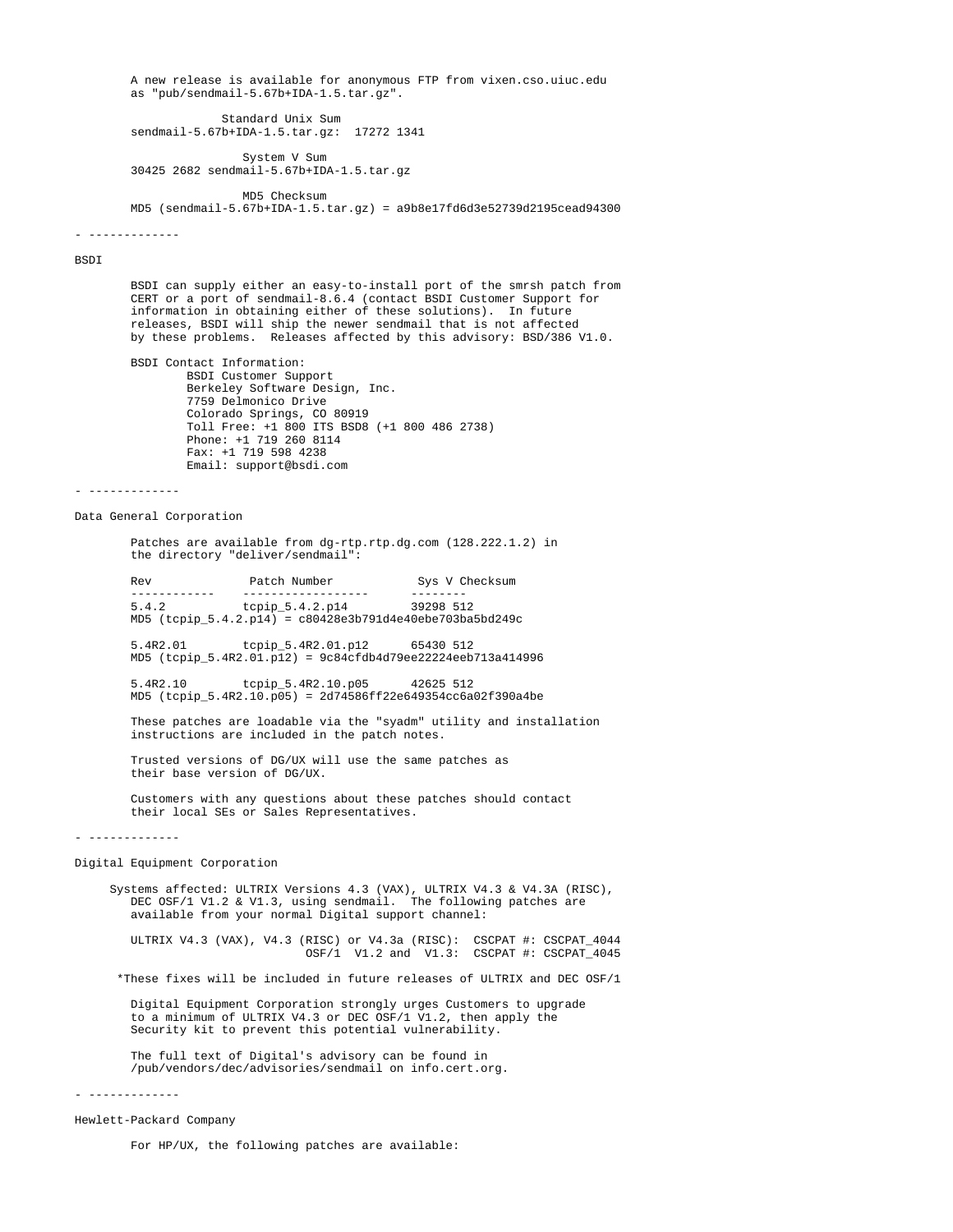A new release is available for anonymous FTP from vixen.cso.uiuc.edu as "pub/sendmail-5.67b+IDA-1.5.tar.gz".

 Standard Unix Sum sendmail-5.67b+IDA-1.5.tar.gz: 17272 1341

 System V Sum 30425 2682 sendmail-5.67b+IDA-1.5.tar.gz

 MD5 Checksum MD5 (sendmail-5.67b+IDA-1.5.tar.gz) = a9b8e17fd6d3e52739d2195cead94300

- -------------

BSDI

 BSDI can supply either an easy-to-install port of the smrsh patch from CERT or a port of sendmail-8.6.4 (contact BSDI Customer Support for information in obtaining either of these solutions). In future releases, BSDI will ship the newer sendmail that is not affected by these problems. Releases affected by this advisory: BSD/386 V1.0.

 BSDI Contact Information: BSDI Customer Support Berkeley Software Design, Inc. 7759 Delmonico Drive Colorado Springs, CO 80919 Toll Free: +1 800 ITS BSD8 (+1 800 486 2738) Phone: +1 719 260 8114 Fax: +1 719 598 4238 Email: support@bsdi.com

- -------------

Data General Corporation

 Patches are available from dg-rtp.rtp.dg.com (128.222.1.2) in the directory "deliver/sendmail":

Rev Patch Number Sys V Checksum ------------ ------------------ -------- 5.4.2 tcpip\_5.4.2.p14 39298 512 MD5 (tcpip\_5.4.2.p14) = c80428e3b791d4e40ebe703ba5bd249c

> 5.4R2.01 tcpip\_5.4R2.01.p12 65430 512 MD5 (tcpip\_5.4R2.01.p12) = 9c84cfdb4d79ee22224eeb713a414996

> 5.4R2.10 tcpip\_5.4R2.10.p05 42625 512 MD5 (tcpip\_5.4R2.10.p05) = 2d74586ff22e649354cc6a02f390a4be

 These patches are loadable via the "syadm" utility and installation instructions are included in the patch notes.

 Trusted versions of DG/UX will use the same patches as their base version of DG/UX.

 Customers with any questions about these patches should contact their local SEs or Sales Representatives.

- -------------

Digital Equipment Corporation

 Systems affected: ULTRIX Versions 4.3 (VAX), ULTRIX V4.3 & V4.3A (RISC), DEC OSF/1 V1.2 & V1.3, using sendmail. The following patches are available from your normal Digital support channel:

 ULTRIX V4.3 (VAX), V4.3 (RISC) or V4.3a (RISC): CSCPAT #: CSCPAT\_4044  $OSF/1$  V1.2 and V1.3: CSCPAT #: CSCPAT 4045

\*These fixes will be included in future releases of ULTRIX and DEC OSF/1

 Digital Equipment Corporation strongly urges Customers to upgrade to a minimum of ULTRIX V4.3 or DEC OSF/1 V1.2, then apply the Security kit to prevent this potential vulnerability.

 The full text of Digital's advisory can be found in /pub/vendors/dec/advisories/sendmail on info.cert.org.

- -------------

Hewlett-Packard Company

For HP/UX, the following patches are available: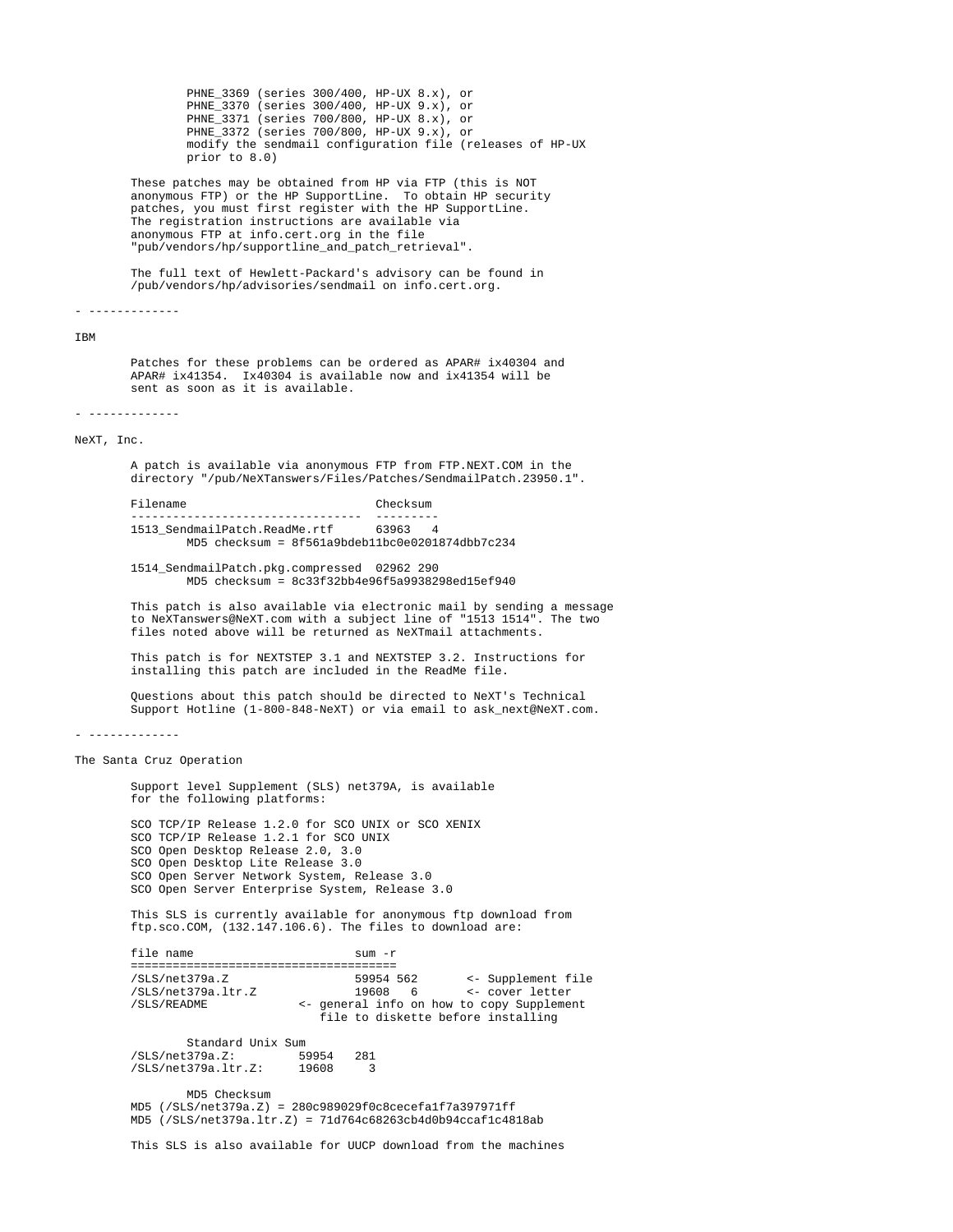PHNE\_3369 (series 300/400, HP-UX 8.x), or PHNE\_3370 (series 300/400, HP-UX 9.x), or PHNE\_3371 (series 700/800, HP-UX 8.x), or PHNE\_3372 (series 700/800, HP-UX 9.x), or modify the sendmail configuration file (releases of HP-UX prior to 8.0)

 These patches may be obtained from HP via FTP (this is NOT anonymous FTP) or the HP SupportLine. To obtain HP security patches, you must first register with the HP SupportLine. .<br>The registration instructions are available via anonymous FTP at info.cert.org in the file "pub/vendors/hp/supportline\_and\_patch\_retrieval".

> The full text of Hewlett-Packard's advisory can be found in /pub/vendors/hp/advisories/sendmail on info.cert.org.

- -------------

IBM

 Patches for these problems can be ordered as APAR# ix40304 and APAR# ix41354. Ix40304 is available now and ix41354 will be sent as soon as it is available.

- -------------

NeXT, Inc.

 A patch is available via anonymous FTP from FTP.NEXT.COM in the directory "/pub/NeXTanswers/Files/Patches/SendmailPatch.23950.1".

Filename Checksum --------------------------------- --------- 1513\_SendmailPatch.ReadMe.rtf 63963 4 MD5 checksum = 8f561a9bdeb11bc0e0201874dbb7c234

> 1514\_SendmailPatch.pkg.compressed 02962 290 MD5 checksum = 8c33f32bb4e96f5a9938298ed15ef940

 This patch is also available via electronic mail by sending a message to NeXTanswers@NeXT.com with a subject line of "1513 1514". The two files noted above will be returned as NeXTmail attachments.

 This patch is for NEXTSTEP 3.1 and NEXTSTEP 3.2. Instructions for installing this patch are included in the ReadMe file.

 Questions about this patch should be directed to NeXT's Technical Support Hotline (1-800-848-NeXT) or via email to ask\_next@NeXT.com.

- -------------

The Santa Cruz Operation

 Support level Supplement (SLS) net379A, is available for the following platforms:

 SCO TCP/IP Release 1.2.0 for SCO UNIX or SCO XENIX SCO TCP/IP Release 1.2.1 for SCO UNIX SCO Open Desktop Release 2.0, 3.0 SCO Open Desktop Lite Release 3.0 SCO Open Server Network System, Release 3.0 SCO Open Server Enterprise System, Release 3.0

 This SLS is currently available for anonymous ftp download from ftp.sco.COM, (132.147.106.6). The files to download are:

file name sum -r ====================================== /SLS/net379a.Z 59954 562 <- Supplement file /SLS/net379a.ltr.Z 19608 6 <- cover letter /SLS/README <- general info on how to copy Supplement file to diskette before installing Standard Unix Sum /SLS/net379a.Z: 59954 281 /SLS/net379a.ltr.Z:

> MD5 Checksum MD5 (/SLS/net379a.Z) = 280c989029f0c8cecefa1f7a397971ff MD5 (/SLS/net379a.ltr.Z) = 71d764c68263cb4d0b94ccaf1c4818ab

This SLS is also available for UUCP download from the machines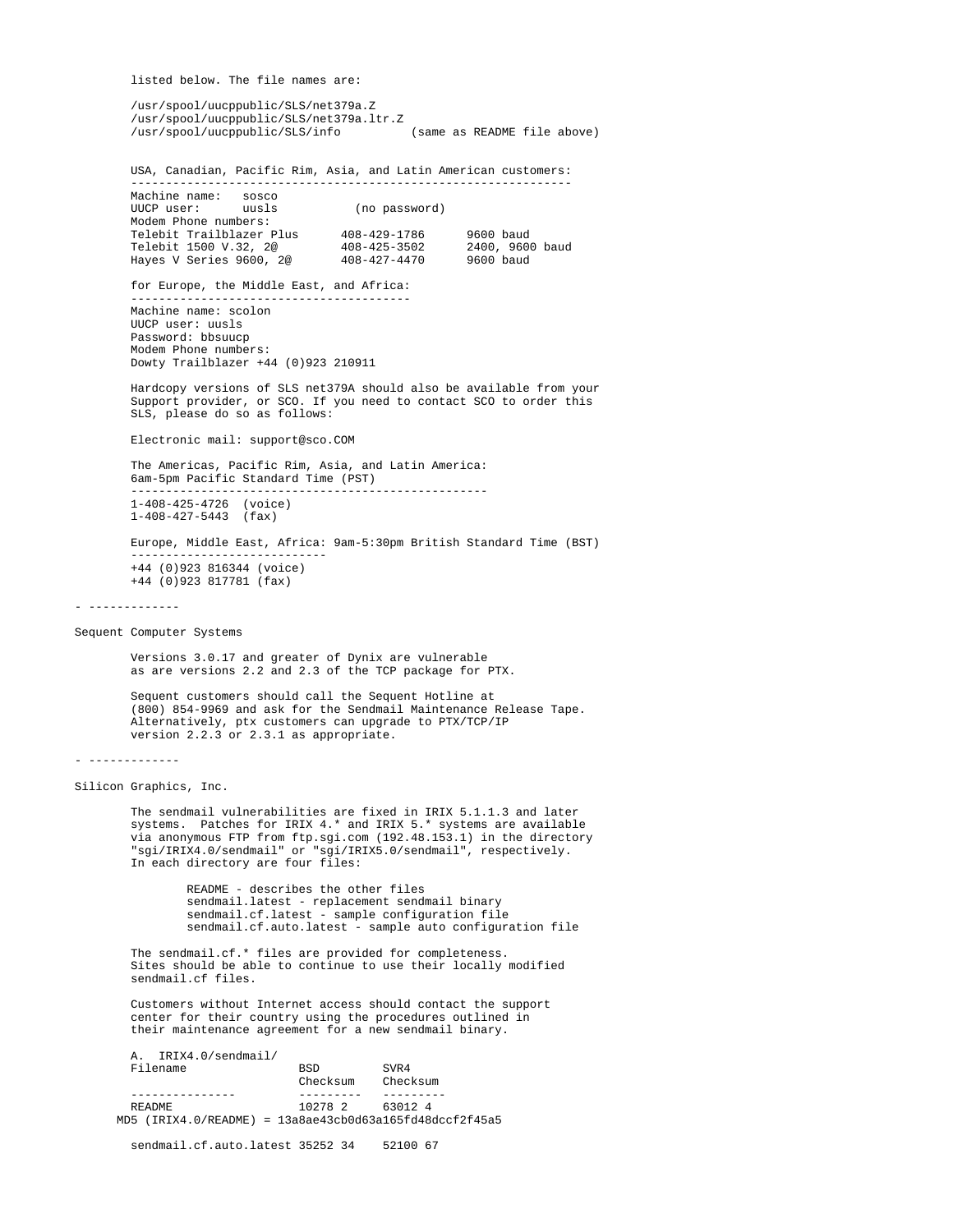listed below. The file names are:

---------------------------------------------------------------

 /usr/spool/uucppublic/SLS/net379a.Z /usr/spool/uucppublic/SLS/net379a.ltr.Z /usr/spool/uucppublic/SLS/info (same as README file above)

USA, Canadian, Pacific Rim, Asia, and Latin American customers:

| Machine name:            | SOSCO |                    |                 |  |
|--------------------------|-------|--------------------|-----------------|--|
| UUCP user:               | uusls | (no password)      |                 |  |
| Modem Phone numbers:     |       |                    |                 |  |
| Telebit Trailblazer Plus |       | 408-429-1786       | $9600$ baud     |  |
| Telebit 1500 V.32, 2@    |       | 408-425-3502       | 2400, 9600 baud |  |
| Hayes V Series 9600, 2@  |       | $408 - 427 - 4470$ | 9600 baud       |  |

for Europe, the Middle East, and Africa:

 Machine name: scolon UUCP user: uusls Password: bbsuucp Modem Phone numbers: Dowty Trailblazer +44 (0)923 210911

 Hardcopy versions of SLS net379A should also be available from your Support provider, or SCO. If you need to contact SCO to order this SLS, please do so as follows:

Electronic mail: support@sco.COM

 The Americas, Pacific Rim, Asia, and Latin America: 6am-5pm Pacific Standard Time (PST) --------------------------------------------------- 1-408-425-4726 (voice)

1-408-427-5443 (fax)

 Europe, Middle East, Africa: 9am-5:30pm British Standard Time (BST) ---------------------------- +44 (0)923 816344 (voice) +44 (0)923 817781 (fax)

Sequent Computer Systems

 Versions 3.0.17 and greater of Dynix are vulnerable as are versions 2.2 and 2.3 of the TCP package for PTX.

 Sequent customers should call the Sequent Hotline at (800) 854-9969 and ask for the Sendmail Maintenance Release Tape. Alternatively, ptx customers can upgrade to PTX/TCP/IP version 2.2.3 or 2.3.1 as appropriate.

```
- -------------
```
Silicon Graphics, Inc.

 The sendmail vulnerabilities are fixed in IRIX 5.1.1.3 and later systems. Patches for IRIX 4.\* and IRIX 5.\* systems are available via anonymous FTP from ftp.sgi.com (192.48.153.1) in the directory "sgi/IRIX4.0/sendmail" or "sgi/IRIX5.0/sendmail", respectively. In each directory are four files:

> README - describes the other files sendmail.latest - replacement sendmail binary sendmail.cf.latest - sample configuration file sendmail.cf.auto.latest - sample auto configuration file

```
 The sendmail.cf.* files are provided for completeness.
Sites should be able to continue to use their locally modified
 sendmail.cf files.
```
 Customers without Internet access should contact the support center for their country using the procedures outlined in their maintenance agreement for a new sendmail binary.

 A. IRIX4.0/sendmail/ Filename BSD SVR4 Checksum Checksum --------------- --------- --------- PRADME 10278 2 63012 4 MD5 (IRIX4.0/README) = 13a8ae43cb0d63a165fd48dccf2f45a5

sendmail.cf.auto.latest 35252 34 52100 67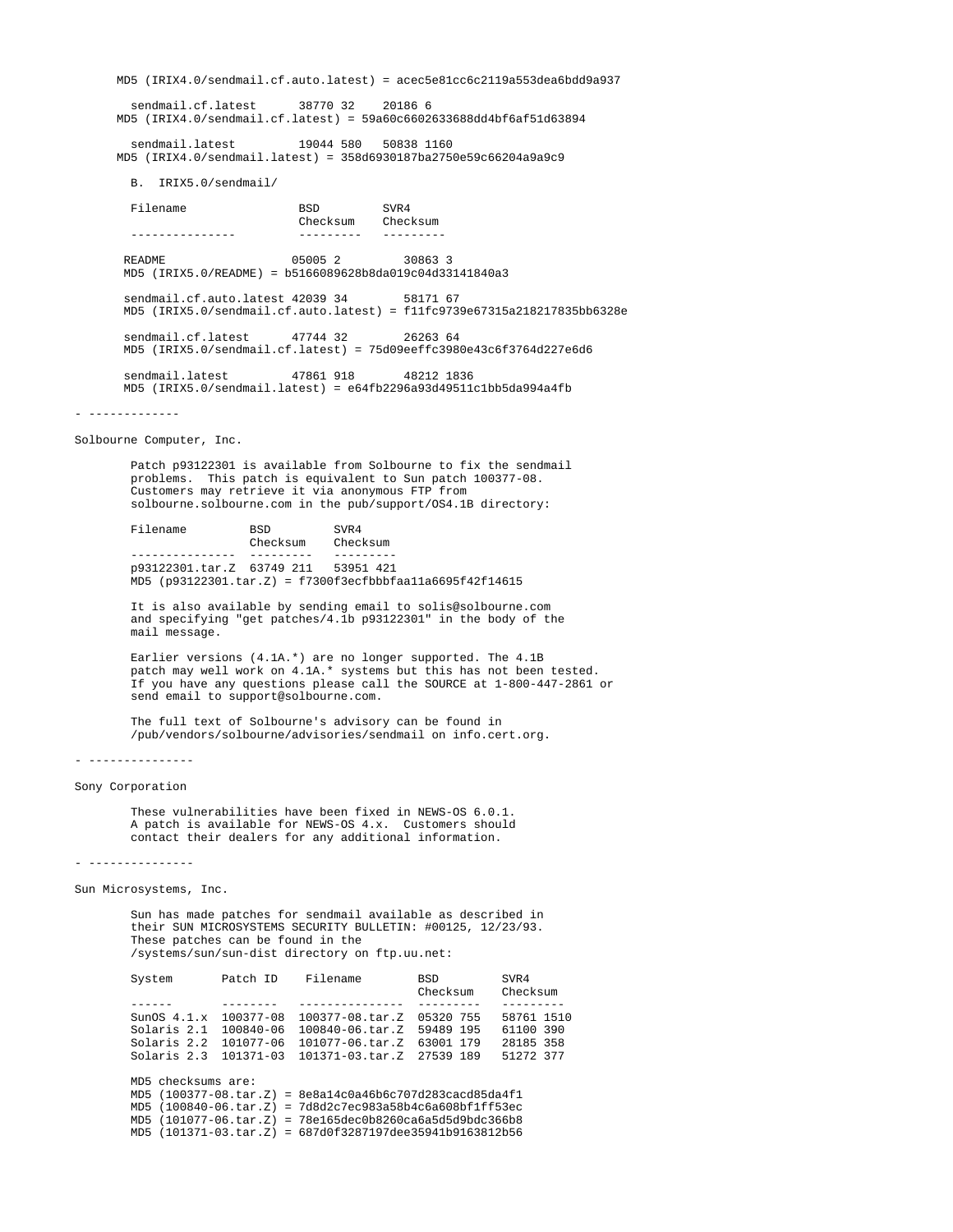MD5 (IRIX4.0/sendmail.cf.auto.latest) = acec5e81cc6c2119a553dea6bdd9a937 sendmail.cf.latest 38770 32 20186 6 MD5 (IRIX4.0/sendmail.cf.latest) = 59a60c6602633688dd4bf6af51d63894 sendmail.latest 19044 580 50838 1160 MD5 (IRIX4.0/sendmail.latest) = 358d6930187ba2750e59c66204a9a9c9 B. IRIX5.0/sendmail/ Filename BSD SVR4 Checksum Checksum --------------- --------- --------- README 05005 2 30863 3 MD5 (IRIX5.0/README) = b5166089628b8da019c04d33141840a3 sendmail.cf.auto.latest 42039 34 58171 67 MD5 (IRIX5.0/sendmail.cf.auto.latest) = f11fc9739e67315a218217835bb6328e sendmail.cf.latest 47744 32 26263 64 MD5 (IRIX5.0/sendmail.cf.latest) = 75d09eeffc3980e43c6f3764d227e6d6 sendmail.latest 47861 918 48212 1836 MD5 (IRIX5.0/sendmail.latest) = e64fb2296a93d49511c1bb5da994a4fb - ------------- Solbourne Computer, Inc. Patch p93122301 is available from Solbourne to fix the sendmail problems. This patch is equivalent to Sun patch 100377-08. Customers may retrieve it via anonymous FTP from solbourne.solbourne.com in the pub/support/OS4.1B directory: Filename BSD SVR4<br>Checksum Checksum Checksum --------------- --------- -------- p93122301.tar.Z 63749 211 53951 421 MD5 (p93122301.tar.Z) = f7300f3ecfbbbfaa11a6695f42f14615 It is also available by sending email to solis@solbourne.com and specifying "get patches/4.1b p93122301" in the body of the mail message. Earlier versions (4.1A.\*) are no longer supported. The 4.1B patch may well work on 4.1A.\* systems but this has not been tested. If you have any questions please call the SOURCE at 1-800-447-2861 or send email to support@solbourne.com. The full text of Solbourne's advisory can be found in /pub/vendors/solbourne/advisories/sendmail on info.cert.org. - --------------- Sony Corporation These vulnerabilities have been fixed in NEWS-OS 6.0.1. A patch is available for NEWS-OS 4.x. Customers should contact their dealers for any additional information. - --------------- Sun Microsystems, Inc. Sun has made patches for sendmail available as described in their SUN MICROSYSTEMS SECURITY BULLETIN: #00125, 12/23/93. These patches can be found in the /systems/sun/sun-dist directory on ftp.uu.net: System Patch ID Filename BSD SVR4 Checksum Checksum ------ -------- --------------- --------- --------- SunOS 4.1.x 100377-08 100377-08.tar.Z 05320 755 58761 1510 Solaris 2.1 100840-06 100840-06.tar.Z 59489 195 61100 390 Solaris 2.2 101077-06 101077-06.tar.Z 63001 179 28185 358 Solaris 2.3 101371-03 101371-03.tar.Z 27539 189 51272 377 MD5 checksums are: MD5 (100377-08.tar.Z) = 8e8a14c0a46b6c707d283cacd85da4f1

 MD5 (100840-06.tar.Z) = 7d8d2c7ec983a58b4c6a608bf1ff53ec MD5 (101077-06.tar.Z) = 78e165dec0b8260ca6a5d5d9bdc366b8 MD5 (101371-03.tar.Z) = 687d0f3287197dee35941b9163812b56